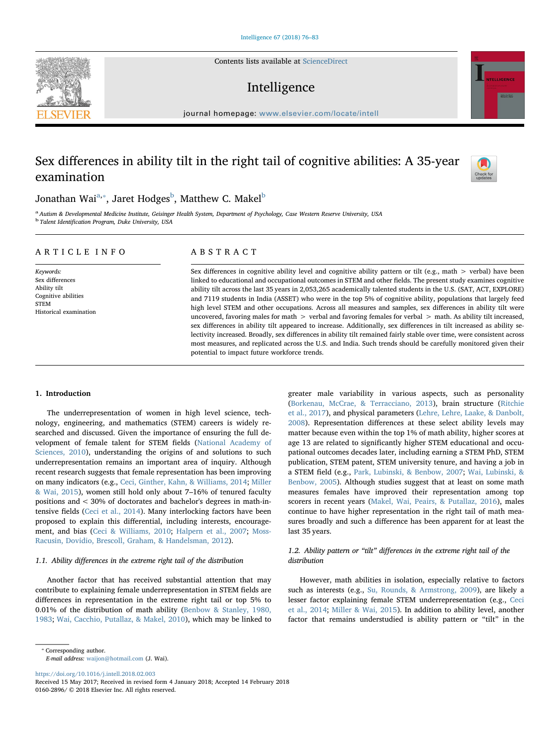Contents lists available at [ScienceDirect](http://www.sciencedirect.com/science/journal/01602896)

# Intelligence

journal homepage: [www.elsevier.com/locate/intell](https://www.elsevier.com/locate/intell)

# Sex differences in ability tilt in the right tail of cognitive abilities: A 35-year examination



<span id="page-0-2"></span><span id="page-0-0"></span><sup>a</sup> Autism & Developmental Medicine Institute, Geisinger Health System, Department of Psychology, Case Western Reserve University, USA <sup>b</sup> Talent Identification Program, Duke University, USA

### ARTICLE INFO

Keywords: Sex differences Ability tilt Cognitive abilities STEM Historical examination

## ABSTRACT

Sex differences in cognitive ability level and cognitive ability pattern or tilt (e.g., math  $>$  verbal) have been linked to educational and occupational outcomes in STEM and other fields. The present study examines cognitive ability tilt across the last 35 years in 2,053,265 academically talented students in the U.S. (SAT, ACT, EXPLORE) and 7119 students in India (ASSET) who were in the top 5% of cognitive ability, populations that largely feed high level STEM and other occupations. Across all measures and samples, sex differences in ability tilt were uncovered, favoring males for math > verbal and favoring females for verbal > math. As ability tilt increased, sex differences in ability tilt appeared to increase. Additionally, sex differences in tilt increased as ability selectivity increased. Broadly, sex differences in ability tilt remained fairly stable over time, were consistent across most measures, and replicated across the U.S. and India. Such trends should be carefully monitored given their potential to impact future workforce trends.

## 1. Introduction

The underrepresentation of women in high level science, technology, engineering, and mathematics (STEM) careers is widely researched and discussed. Given the importance of ensuring the full development of female talent for STEM fields ([National Academy of](#page-7-0) [Sciences, 2010](#page-7-0)), understanding the origins of and solutions to such underrepresentation remains an important area of inquiry. Although recent research suggests that female representation has been improving on many indicators (e.g., [Ceci, Ginther, Kahn, & Williams, 2014;](#page-6-0) [Miller](#page-7-1) [& Wai, 2015](#page-7-1)), women still hold only about 7–16% of tenured faculty positions and < 30% of doctorates and bachelor's degrees in math-intensive fields [\(Ceci et al., 2014](#page-6-0)). Many interlocking factors have been proposed to explain this differential, including interests, encouragement, and bias ([Ceci & Williams, 2010;](#page-6-1) [Halpern et al., 2007;](#page-7-2) [Moss-](#page-7-3)[Racusin, Dovidio, Brescoll, Graham, & Handelsman, 2012](#page-7-3)).

## 1.1. Ability differences in the extreme right tail of the distribution

Another factor that has received substantial attention that may contribute to explaining female underrepresentation in STEM fields are differences in representation in the extreme right tail or top 5% to 0.01% of the distribution of math ability ([Benbow & Stanley, 1980,](#page-6-2) [1983;](#page-6-2) [Wai, Cacchio, Putallaz, & Makel, 2010\)](#page-7-4), which may be linked to

<https://doi.org/10.1016/j.intell.2018.02.003> E-mail address: [waijon@hotmail.com](mailto:waijon@hotmail.com) (J. Wai).

<span id="page-0-1"></span>⁎ Corresponding author.

([Borkenau, McCrae, & Terracciano, 2013\)](#page-6-3), brain structure ([Ritchie](#page-7-5) [et al., 2017\)](#page-7-5), and physical parameters ([Lehre, Lehre, Laake, & Danbolt,](#page-7-6) [2008\)](#page-7-6). Representation differences at these select ability levels may matter because even within the top 1% of math ability, higher scores at age 13 are related to significantly higher STEM educational and occupational outcomes decades later, including earning a STEM PhD, STEM publication, STEM patent, STEM university tenure, and having a job in a STEM field (e.g., [Park, Lubinski, & Benbow, 2007;](#page-7-7) [Wai, Lubinski, &](#page-7-8) [Benbow, 2005](#page-7-8)). Although studies suggest that at least on some math measures females have improved their representation among top scorers in recent years ([Makel, Wai, Peairs, & Putallaz, 2016\)](#page-7-9), males continue to have higher representation in the right tail of math measures broadly and such a difference has been apparent for at least the last 35 years.

greater male variability in various aspects, such as personality

### 1.2. Ability pattern or "tilt" differences in the extreme right tail of the distribution

However, math abilities in isolation, especially relative to factors such as interests (e.g., [Su, Rounds, & Armstrong, 2009](#page-7-10)), are likely a lesser factor explaining female STEM underrepresentation (e.g., [Ceci](#page-6-0) et [al., 2014;](#page-6-0) [Miller & Wai, 2015\)](#page-7-1). In addition to ability level, another factor that remains understudied is ability pattern or "tilt" in the





Check for<br>updates



Received 15 May 2017; Received in revised form 4 January 2018; Accepted 14 February 2018 0160-2896/ © 2018 Elsevier Inc. All rights reserved.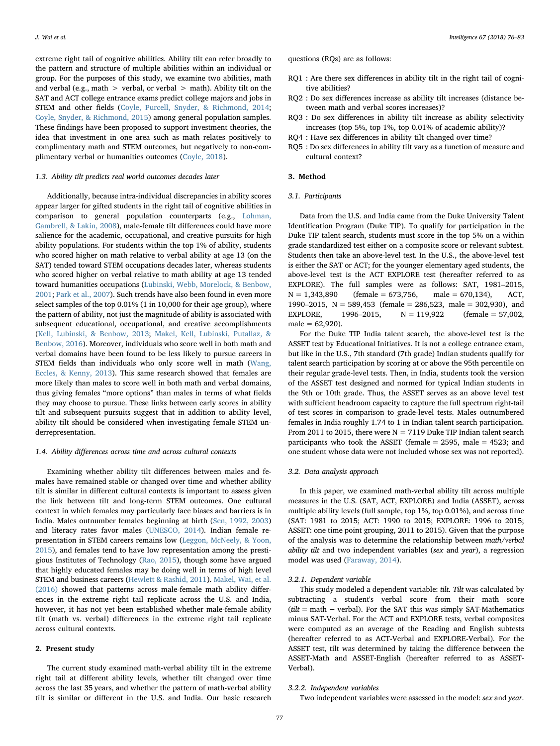J. Wai et al. *Intelligence 67 (2018) 76–83*

questions (RQs) are as follows:

- RQ1 : Are there sex differences in ability tilt in the right tail of cognitive abilities?
- RQ2 : Do sex differences increase as ability tilt increases (distance between math and verbal scores increases)?
- RQ3 : Do sex differences in ability tilt increase as ability selectivity increases (top 5%, top 1%, top 0.01% of academic ability)?
- RQ4 : Have sex differences in ability tilt changed over time?
- RQ5 : Do sex differences in ability tilt vary as a function of measure and cultural context?

#### 3. Method

## 3.1. Participants

Data from the U.S. and India came from the Duke University Talent Identification Program (Duke TIP). To qualify for participation in the Duke TIP talent search, students must score in the top 5% on a within grade standardized test either on a composite score or relevant subtest. Students then take an above-level test. In the U.S., the above-level test is either the SAT or ACT; for the younger elementary aged students, the above-level test is the ACT EXPLORE test (hereafter referred to as EXPLORE). The full samples were as follows: SAT, 1981–2015,  $N = 1,343,890$  (female = 673,756, male = 670,134), ACT, 1990–2015, N = 589,453 (female = 286,523, male = 302,930), and EXPLORE, 1996–2015,  $N = 119,922$  (female = 57,002,  $male = 62,920$ .

For the Duke TIP India talent search, the above-level test is the ASSET test by Educational Initiatives. It is not a college entrance exam, but like in the U.S., 7th standard (7th grade) Indian students qualify for talent search participation by scoring at or above the 95th percentile on their regular grade-level tests. Then, in India, students took the version of the ASSET test designed and normed for typical Indian students in the 9th or 10th grade. Thus, the ASSET serves as an above level test with sufficient headroom capacity to capture the full spectrum right-tail of test scores in comparison to grade-level tests. Males outnumbered females in India roughly 1.74 to 1 in Indian talent search participation. From 2011 to 2015, there were  $N = 7119$  Duke TIP Indian talent search participants who took the ASSET (female = 2595, male = 4523; and one student whose data were not included whose sex was not reported).

#### 3.2. Data analysis approach

In this paper, we examined math-verbal ability tilt across multiple measures in the U.S. (SAT, ACT, EXPLORE) and India (ASSET), across multiple ability levels (full sample, top 1%, top 0.01%), and across time (SAT: 1981 to 2015; ACT: 1990 to 2015; EXPLORE: 1996 to 2015; ASSET: one time point grouping, 2011 to 2015). Given that the purpose of the analysis was to determine the relationship between math/verbal ability tilt and two independent variables (sex and year), a regression model was used ([Faraway, 2014\)](#page-7-22).

#### 3.2.1. Dependent variable

This study modeled a dependent variable: tilt. Tilt was calculated by subtracting a student's verbal score from their math score  $(tilt = \text{math} - \text{verbal})$ . For the SAT this was simply SAT-Mathematics minus SAT-Verbal. For the ACT and EXPLORE tests, verbal composites were computed as an average of the Reading and English subtests (hereafter referred to as ACT-Verbal and EXPLORE-Verbal). For the ASSET test, tilt was determined by taking the difference between the ASSET-Math and ASSET-English (hereafter referred to as ASSET-Verbal).

#### 3.2.2. Independent variables

Two independent variables were assessed in the model: sex and year.

extreme right tail of cognitive abilities. Ability tilt can refer broadly to the pattern and structure of multiple abilities within an individual or group. For the purposes of this study, we examine two abilities, math and verbal (e.g., math  $>$  verbal, or verbal  $>$  math). Ability tilt on the SAT and ACT college entrance exams predict college majors and jobs in STEM and other fields [\(Coyle, Purcell, Snyder, & Richmond, 2014](#page-6-4); [Coyle, Snyder, & Richmond, 2015\)](#page-7-11) among general population samples. These findings have been proposed to support investment theories, the idea that investment in one area such as math relates positively to complimentary math and STEM outcomes, but negatively to non-complimentary verbal or humanities outcomes ([Coyle, 2018](#page-6-5)).

## 1.3. Ability tilt predicts real world outcomes decades later

Additionally, because intra-individual discrepancies in ability scores appear larger for gifted students in the right tail of cognitive abilities in comparison to general population counterparts (e.g., [Lohman,](#page-7-12) [Gambrell, & Lakin, 2008](#page-7-12)), male-female tilt differences could have more salience for the academic, occupational, and creative pursuits for high ability populations. For students within the top 1% of ability, students who scored higher on math relative to verbal ability at age 13 (on the SAT) tended toward STEM occupations decades later, whereas students who scored higher on verbal relative to math ability at age 13 tended toward humanities occupations ([Lubinski, Webb, Morelock, & Benbow,](#page-7-13) [2001;](#page-7-13) [Park et al., 2007](#page-7-7)). Such trends have also been found in even more select samples of the top 0.01% (1 in 10,000 for their age group), where the pattern of ability, not just the magnitude of ability is associated with subsequent educational, occupational, and creative accomplishments ([Kell, Lubinski, & Benbow, 2013;](#page-7-14) [Makel, Kell, Lubinski, Putallaz, &](#page-7-15) [Benbow, 2016\)](#page-7-15). Moreover, individuals who score well in both math and verbal domains have been found to be less likely to pursue careers in STEM fields than individuals who only score well in math [\(Wang,](#page-7-16) [Eccles, & Kenny, 2013](#page-7-16)). This same research showed that females are more likely than males to score well in both math and verbal domains, thus giving females "more options" than males in terms of what fields they may choose to pursue. These links between early scores in ability tilt and subsequent pursuits suggest that in addition to ability level, ability tilt should be considered when investigating female STEM underrepresentation.

#### 1.4. Ability differences across time and across cultural contexts

Examining whether ability tilt differences between males and females have remained stable or changed over time and whether ability tilt is similar in different cultural contexts is important to assess given the link between tilt and long-term STEM outcomes. One cultural context in which females may particularly face biases and barriers is in India. Males outnumber females beginning at birth ([Sen, 1992, 2003\)](#page-7-17) and literacy rates favor males [\(UNESCO, 2014](#page-7-18)). Indian female representation in STEM careers remains low ([Leggon, McNeely, & Yoon,](#page-7-19) [2015\)](#page-7-19), and females tend to have low representation among the prestigious Institutes of Technology [\(Rao, 2015\)](#page-7-20), though some have argued that highly educated females may be doing well in terms of high level STEM and business careers ([Hewlett & Rashid, 2011](#page-7-21)). [Makel, Wai, et al.](#page-7-9) [\(2016\)](#page-7-9) showed that patterns across male-female math ability differences in the extreme right tail replicate across the U.S. and India, however, it has not yet been established whether male-female ability tilt (math vs. verbal) differences in the extreme right tail replicate across cultural contexts.

#### 2. Present study

The current study examined math-verbal ability tilt in the extreme right tail at different ability levels, whether tilt changed over time across the last 35 years, and whether the pattern of math-verbal ability tilt is similar or different in the U.S. and India. Our basic research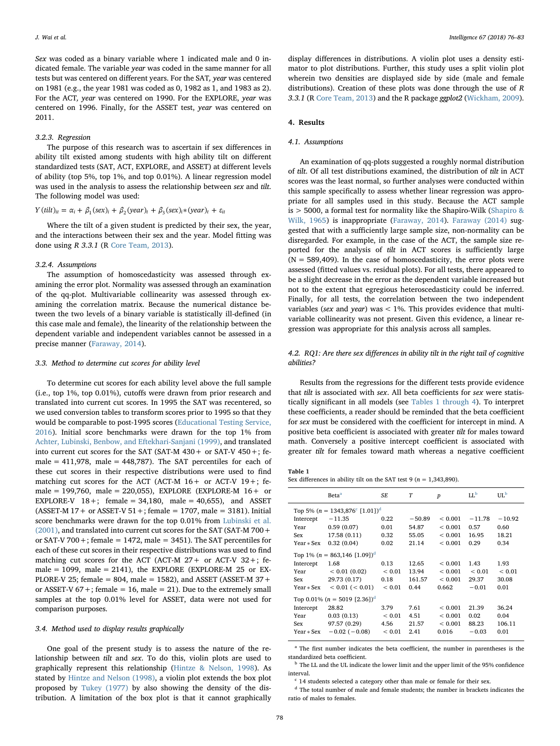Sex was coded as a binary variable where 1 indicated male and 0 indicated female. The variable year was coded in the same manner for all tests but was centered on different years. For the SAT, year was centered on 1981 (e.g., the year 1981 was coded as 0, 1982 as 1, and 1983 as 2). For the ACT, year was centered on 1990. For the EXPLORE, year was centered on 1996. Finally, for the ASSET test, year was centered on 2011.

#### 3.2.3. Regression

The purpose of this research was to ascertain if sex differences in ability tilt existed among students with high ability tilt on different standardized tests (SAT, ACT, EXPLORE, and ASSET) at different levels of ability (top 5%, top 1%, and top 0.01%). A linear regression model was used in the analysis to assess the relationship between sex and tilt. The following model was used:

## $Y ( \text{tilt})_{it} = \alpha_i + \beta_1 (\text{sex})_i + \beta_2 (\text{year})_t + \beta_3 (\text{sex})_i * (\text{year})_t + \varepsilon_{it}$

Where the tilt of a given student is predicted by their sex, the year, and the interactions between their sex and the year. Model fitting was done using R 3.3.1 (R [Core Team, 2013](#page-6-6)).

#### 3.2.4. Assumptions

The assumption of homoscedasticity was assessed through examining the error plot. Normality was assessed through an examination of the qq-plot. Multivariable collinearity was assessed through examining the correlation matrix. Because the numerical distance between the two levels of a binary variable is statistically ill-defined (in this case male and female), the linearity of the relationship between the dependent variable and independent variables cannot be assessed in a precise manner ([Faraway, 2014](#page-7-22)).

#### 3.3. Method to determine cut scores for ability level

To determine cut scores for each ability level above the full sample (i.e., top 1%, top 0.01%), cutoffs were drawn from prior research and translated into current cut scores. In 1995 the SAT was recentered, so we used conversion tables to transform scores prior to 1995 so that they would be comparable to post-1995 scores [\(Educational Testing Service,](#page-7-23) [2016\)](#page-7-23). Initial score benchmarks were drawn for the top 1% from [Achter, Lubinski, Benbow, and Eftekhari-Sanjani \(1999\)](#page-6-7), and translated into current cut scores for the SAT (SAT-M  $430 +$  or SAT-V  $450 +$ ; female =  $411,978$ , male =  $448,787$ ). The SAT percentiles for each of these cut scores in their respective distributions were used to find matching cut scores for the ACT (ACT-M  $16+$  or ACT-V  $19+$ ; female = 199,760, male = 220,055), EXPLORE (EXPLORE-M  $16 +$  or EXPLORE-V  $18+$ ; female = 34,180, male = 40,655), and ASSET (ASSET-M  $17+$  or ASSET-V  $51+$ ; female = 1707, male = 3181). Initial score benchmarks were drawn for the top 0.01% from [Lubinski et al.](#page-7-13) [\(2001\),](#page-7-13) and translated into current cut scores for the SAT (SAT-M 700+ or SAT-V 700 +; female = 1472, male = 3451). The SAT percentiles for each of these cut scores in their respective distributions was used to find matching cut scores for the ACT (ACT-M  $27+$  or ACT-V  $32+$ ; female = 1099, male = 2141), the EXPLORE (EXPLORE-M 25 or EX-PLORE-V 25; female = 804, male = 1582), and ASSET (ASSET-M  $37 +$ or ASSET-V  $67 +$ ; female = 16, male = 21). Due to the extremely small samples at the top 0.01% level for ASSET, data were not used for comparison purposes.

### 3.4. Method used to display results graphically

One goal of the present study is to assess the nature of the relationship between tilt and sex. To do this, violin plots are used to graphically represent this relationship ([Hintze & Nelson, 1998\)](#page-7-24). As stated by [Hintze and Nelson \(1998\),](#page-7-24) a violin plot extends the box plot proposed by [Tukey \(1977\)](#page-7-25) by also showing the density of the distribution. A limitation of the box plot is that it cannot graphically

display differences in distributions. A violin plot uses a density estimator to plot distributions. Further, this study uses a split violin plot wherein two densities are displayed side by side (male and female distributions). Creation of these plots was done through the use of R 3.3.1 (R [Core Team, 2013\)](#page-6-6) and the R package ggplot2 [\(Wickham, 2009](#page-7-26)).

## 4. Results

## 4.1. Assumptions

An examination of qq-plots suggested a roughly normal distribution of tilt. Of all test distributions examined, the distribution of tilt in ACT scores was the least normal, so further analyses were conducted within this sample specifically to assess whether linear regression was appropriate for all samples used in this study. Because the ACT sample is > 5000, a formal test for normality like the Shapiro-Wilk ([Shapiro &](#page-7-27) [Wilk, 1965](#page-7-27)) is inappropriate [\(Faraway, 2014](#page-7-22)). [Faraway \(2014\)](#page-7-22) suggested that with a sufficiently large sample size, non-normality can be disregarded. For example, in the case of the ACT, the sample size reported for the analysis of tilt in ACT scores is sufficiently large  $(N = 589,409)$ . In the case of homoscedasticity, the error plots were assessed (fitted values vs. residual plots). For all tests, there appeared to be a slight decrease in the error as the dependent variable increased but not to the extent that egregious heteroscedasticity could be inferred. Finally, for all tests, the correlation between the two independent variables (sex and year) was  $< 1\%$ . This provides evidence that multivariable collinearity was not present. Given this evidence, a linear regression was appropriate for this analysis across all samples.

## 4.2. RQ1: Are there sex differences in ability tilt in the right tail of cognitive abilities?

Results from the regressions for the different tests provide evidence that tilt is associated with sex. All beta coefficients for sex were statistically significant in all models (see [Tables 1 through 4](#page-2-0)). To interpret these coefficients, a reader should be reminded that the beta coefficient for sex must be considered with the coefficient for intercept in mind. A positive beta coefficient is associated with greater tilt for males toward math. Conversely a positive intercept coefficient is associated with greater tilt for females toward math whereas a negative coefficient

<span id="page-2-0"></span>

| Table 1                                                                |  |  |
|------------------------------------------------------------------------|--|--|
| Sex differences in ability tilt on the SAT test 9 ( $n = 1,343,890$ ). |  |  |

|                                                        | Beta <sup>a</sup>                           | SE         | T        | $\boldsymbol{p}$ | $LL^b$     | UL <sub>p</sub> |  |  |
|--------------------------------------------------------|---------------------------------------------|------------|----------|------------------|------------|-----------------|--|--|
| Top 5% (n = 1343,876 <sup>c</sup> [1.01]) <sup>d</sup> |                                             |            |          |                  |            |                 |  |  |
| Intercept                                              | $-11.35$                                    | 0.22       | $-50.89$ | < 0.001          | $-11.78$   | $-10.92$        |  |  |
| Year                                                   | 0.59(0.07)                                  | 0.01       | 54.87    | ${}< 0.001$      | 0.57       | 0.60            |  |  |
| Sex                                                    | 17.58 (0.11)                                | 0.32       | 55.05    | ${}< 0.001$      | 16.95      | 18.21           |  |  |
| Year * Sex                                             | 0.32(0.04)                                  | 0.02       | 21.14    | ${}< 0.001$      | 0.29       | 0.34            |  |  |
|                                                        | Top 1% ( $n = 863,146$ [1.09]) <sup>d</sup> |            |          |                  |            |                 |  |  |
| Intercept                                              | 1.68                                        | 0.13       | 12.65    | ${}< 0.001$      | 1.43       | 1.93            |  |  |
| Year                                                   | < 0.01(0.02)                                | ${}< 0.01$ | 13.94    | ${}< 0.001$      | ${}< 0.01$ | ${}< 0.01$      |  |  |
| Sex                                                    | 29.73 (0.17)                                | 0.18       | 161.57   | < 0.001          | 29.37      | 30.08           |  |  |
| Year * Sex                                             | $< 0.01$ ( $< 0.01$ )                       | ${}< 0.01$ | 0.44     | 0.662            | $-0.01$    | 0.01            |  |  |
| Top 0.01% $(n = 5019 [2.36])^d$                        |                                             |            |          |                  |            |                 |  |  |
| Intercept                                              | 28.82                                       | 3.79       | 7.61     | ${}< 0.001$      | 21.39      | 36.24           |  |  |
| Year                                                   | 0.03(0.13)                                  | ${}< 0.01$ | 4.51     | ${}< 0.001$      | 0.02       | 0.04            |  |  |
| Sex                                                    | 97.57 (0.29)                                | 4.56       | 21.57    | ${}< 0.001$      | 88.23      | 106.11          |  |  |
| Year * Sex                                             | $-0.02(-0.08)$                              | ${}< 0.01$ | 2.41     | 0.016            | $-0.03$    | 0.01            |  |  |

<span id="page-2-1"></span><sup>a</sup> The first number indicates the beta coefficient, the number in parentheses is the standardized beta coefficient.

<span id="page-2-2"></span> $^{\rm b}$  The LL and the UL indicate the lower limit and the upper limit of the 95% confidence interval.

<span id="page-2-3"></span><sup>c</sup> 14 students selected a category other than male or female for their sex.

<span id="page-2-4"></span> $^{\rm d}$  The total number of male and female students; the number in brackets indicates the ratio of males to females.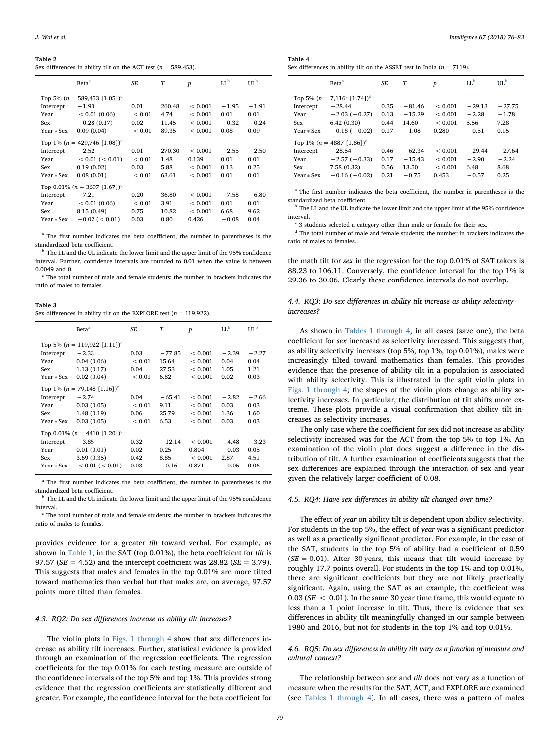#### Table 2

Sex differences in ability tilt on the ACT test ( $n = 589,453$ ).

|                                             | Beta <sup>a</sup>                           | SE            | T      | $\boldsymbol{p}$ | IL <sub>p</sub> | UL <sub>p</sub> |  |
|---------------------------------------------|---------------------------------------------|---------------|--------|------------------|-----------------|-----------------|--|
| Top 5% ( $n = 589,453$ [1.05]) <sup>c</sup> |                                             |               |        |                  |                 |                 |  |
| Intercept                                   | $-1.93$                                     | 0.01          | 260.48 | ${}< 0.001$      | $-1.95$         | $-1.91$         |  |
| Year                                        | < 0.01(0.06)                                | ${}_{< 0.01}$ | 4.74   | ${}< 0.001$      | 0.01            | 0.01            |  |
| Sex                                         | $-0.28(0.17)$                               | 0.02          | 11.45  | ${}< 0.001$      | $-0.32$         | $-0.24$         |  |
| $Year * Sex$                                | 0.09(0.04)                                  | ${}_{< 0.01}$ | 89.35  | ${}< 0.001$      | 0.08            | 0.09            |  |
|                                             | Top 1% ( $n = 429,746$ [1.08]) <sup>c</sup> |               |        |                  |                 |                 |  |
| Intercept                                   | $-2.52$                                     | 0.01          | 270.30 | ${}< 0.001$      | $-2.55$         | $-2.50$         |  |
| Year                                        | $< 0.01$ ( $< 0.01$ )                       | ${}_{< 0.01}$ | 1.48   | 0.139            | 0.01            | 0.01            |  |
| Sex                                         | 0.19(0.02)                                  | 0.03          | 5.88   | ${}< 0.001$      | 0.13            | 0.25            |  |
| Year * Sex                                  | 0.08(0.01)                                  | ${}_{< 0.01}$ | 63.61  | < 0.001          | 0.01            | 0.01            |  |
| Top 0.01% ( $n = 3697$ [1.67]) <sup>c</sup> |                                             |               |        |                  |                 |                 |  |
| Intercept                                   | $-7.21$                                     | 0.20          | 36.80  | ${}< 0.001$      | $-7.58$         | $-6.80$         |  |
| Year                                        | < 0.01(0.06)                                | ${}< 0.01$    | 3.91   | ${}< 0.001$      | 0.01            | 0.01            |  |
| Sex                                         | 8.15 (0.49)                                 | 0.75          | 10.82  | ${}< 0.001$      | 6.68            | 9.62            |  |
| Year * Sex                                  | $-0.02$ ( $< 0.01$ )                        | 0.03          | 0.80   | 0.426            | $-0.08$         | 0.04            |  |

<span id="page-3-0"></span><sup>a</sup> The first number indicates the beta coefficient, the number in parentheses is the standardized beta coefficient.

<span id="page-3-1"></span> $^{\rm b}$  The LL and the UL indicate the lower limit and the upper limit of the 95% confidence interval. Further, confidence intervals are rounded to 0.01 when the value is between 0.0049 and 0.

<span id="page-3-2"></span><sup>c</sup> The total number of male and female students; the number in brackets indicates the ratio of males to females.

#### Table 3

Sex differences in ability tilt on the EXPLORE test ( $n = 119,922$ ).

|                                             | <b>Beta</b> <sup>a</sup>                  | SE            | T        | $\boldsymbol{p}$ | LI <sub>p</sub> | UL <sup>b</sup> |  |
|---------------------------------------------|-------------------------------------------|---------------|----------|------------------|-----------------|-----------------|--|
| Top 5% ( $n = 119,922$ [1.11]) <sup>c</sup> |                                           |               |          |                  |                 |                 |  |
| Intercept                                   | $-2.33$                                   | 0.03          | $-77.85$ | ${}< 0.001$      | $-2.39$         | $-2.27$         |  |
| Year                                        | 0.04(0.06)                                | ${}< 0.01$    | 15.64    | ${}< 0.001$      | 0.04            | 0.04            |  |
| Sex                                         | 1.13(0.17)                                | 0.04          | 27.53    | ${}< 0.001$      | 1.05            | 1.21            |  |
| Year * Sex                                  | 0.02(0.04)                                | ${}< 0.01$    | 6.82     | ${}< 0.001$      | 0.02            | 0.03            |  |
|                                             | Top 1% $(n = 79,148$ [1.16]) <sup>c</sup> |               |          |                  |                 |                 |  |
| Intercept                                   | $-2.74$                                   | 0.04          | $-65.41$ | < 0.001          | $-2.82$         | $-2.66$         |  |
| Year                                        | 0.03(0.05)                                | ${}< 0.01$    | 9.11     | ${}< 0.001$      | 0.03            | 0.03            |  |
| Sex                                         | 1.48(0.19)                                | 0.06          | 25.79    | ${}< 0.001$      | 1.36            | 1.60            |  |
| Year * Sex                                  | 0.03(0.05)                                | ${}_{< 0.01}$ | 6.53     | ${}< 0.001$      | 0.03            | 0.03            |  |
| Top 0.01% ( $n = 4410$ [1.20]) <sup>c</sup> |                                           |               |          |                  |                 |                 |  |
| Intercept                                   | $-3.85$                                   | 0.32          | $-12.14$ | < 0.001          | $-4.48$         | $-3.23$         |  |
| Year                                        | 0.01(0.01)                                | 0.02          | 0.25     | 0.804            | $-0.03$         | 0.05            |  |
| Sex                                         | 3.69(0.35)                                | 0.42          | 8.85     | ${}< 0.001$      | 2.87            | 4.51            |  |
| Year * Sex                                  | $< 0.01$ ( $< 0.01$ )                     | 0.03          | $-0.16$  | 0.871            | $-0.05$         | 0.06            |  |
|                                             |                                           |               |          |                  |                 |                 |  |

<span id="page-3-3"></span><sup>a</sup> The first number indicates the beta coefficient, the number in parentheses is the standardized beta coefficient.

<span id="page-3-4"></span> $<sup>b</sup>$  The LL and the UL indicate the lower limit and the upper limit of the 95% confidence</sup> interval.

<span id="page-3-5"></span>The total number of male and female students; the number in brackets indicates the ratio of males to females.

provides evidence for a greater tilt toward verbal. For example, as shown in [Table 1](#page-2-0), in the SAT (top 0.01%), the beta coefficient for tilt is 97.57 ( $SE = 4.52$ ) and the intercept coefficient was 28.82 ( $SE = 3.79$ ). This suggests that males and females in the top 0.01% are more tilted toward mathematics than verbal but that males are, on average, 97.57 points more tilted than females.

#### 4.3. RQ2: Do sex differences increase as ability tilt increases?

The violin plots in [Figs. 1 through 4](#page-4-0) show that sex differences increase as ability tilt increases. Further, statistical evidence is provided through an examination of the regression coefficients. The regression coefficients for the top 0.01% for each testing measure are outside of the confidence intervals of the top 5% and top 1%. This provides strong evidence that the regression coefficients are statistically different and greater. For example, the confidence interval for the beta coefficient for

| J. Wai et al. | Intelligence 67 (2018) 76-83 |
|---------------|------------------------------|
|---------------|------------------------------|

## Table 4

Sex differences in ability tilt on the ASSET test in India ( $n = 7119$ ).

|                                        | <b>Beta</b> <sup>a</sup>                                                                                        | SF.                          | T                                        | $\boldsymbol{p}$                            | LI <sub>p</sub>                        | UL <sub>p</sub>                     |
|----------------------------------------|-----------------------------------------------------------------------------------------------------------------|------------------------------|------------------------------------------|---------------------------------------------|----------------------------------------|-------------------------------------|
| Intercept<br>Year<br>Sex<br>Year * Sex | Top 5% ( $n = 7,116^{\circ}$ [1.74]) <sup>d</sup><br>$-28.44$<br>$-2.03(-0.27)$<br>6.42(0.30)<br>$-0.18(-0.02)$ | 0.35<br>0.13<br>0.44<br>0.17 | $-81.46$<br>$-15.29$<br>14.60<br>$-1.08$ | ${}_{0.001}$<br>< 0.001<br>< 0.001<br>0.280 | $-29.13$<br>$-2.28$<br>5.56<br>$-0.51$ | $-27.75$<br>$-1.78$<br>7.28<br>0.15 |
| Intercept<br>Year<br>Sex<br>Year * Sex | Top 1% $(n = 4887 [1.86])^d$<br>$-28.54$<br>$-2.57(-0.33)$<br>7.58(0.32)<br>$-0.16(-0.02)$                      | 0.46<br>0.17<br>0.56<br>0.21 | $-62.34$<br>$-15.43$<br>13.50<br>$-0.75$ | ${}_{0.001}$<br>< 0.001<br>< 0.001<br>0.453 | $-29.44$<br>$-2.90$<br>6.48<br>$-0.57$ | $-27.64$<br>$-2.24$<br>8.68<br>0.25 |

<span id="page-3-6"></span><sup>a</sup> The first number indicates the beta coefficient, the number in parentheses is the standardized beta coefficient.

<span id="page-3-7"></span><sup>b</sup> The LL and the UL indicate the lower limit and the upper limit of the 95% confidence interval.

<span id="page-3-8"></span>3 students selected a category other than male or female for their sex.

<span id="page-3-9"></span><sup>d</sup> The total number of male and female students; the number in brackets indicates the ratio of males to females.

the math tilt for sex in the regression for the top 0.01% of SAT takers is 88.23 to 106.11. Conversely, the confidence interval for the top 1% is 29.36 to 30.06. Clearly these confidence intervals do not overlap.

## 4.4. RQ3: Do sex differences in ability tilt increase as ability selectivity increases?

As shown in [Tables 1 through 4](#page-2-0), in all cases (save one), the beta coefficient for sex increased as selectivity increased. This suggests that, as ability selectivity increases (top 5%, top 1%, top 0.01%), males were increasingly tilted toward mathematics than females. This provides evidence that the presence of ability tilt in a population is associated with ability selectivity. This is illustrated in the split violin plots in [Figs. 1 through 4](#page-4-0); the shapes of the violin plots change as ability selectivity increases. In particular, the distribution of tilt shifts more extreme. These plots provide a visual confirmation that ability tilt increases as selectivity increases.

The only case where the coefficient for sex did not increase as ability selectivity increased was for the ACT from the top 5% to top 1%. An examination of the violin plot does suggest a difference in the distribution of tilt. A further examination of coefficients suggests that the sex differences are explained through the interaction of sex and year given the relatively larger coefficient of 0.08.

#### 4.5. RQ4: Have sex differences in ability tilt changed over time?

The effect of year on ability tilt is dependent upon ability selectivity. For students in the top 5%, the effect of year was a significant predictor as well as a practically significant predictor. For example, in the case of the SAT, students in the top 5% of ability had a coefficient of 0.59  $(SE = 0.01)$ . After 30 years, this means that tilt would increase by roughly 17.7 points overall. For students in the top 1% and top 0.01%, there are significant coefficients but they are not likely practically significant. Again, using the SAT as an example, the coefficient was 0.03 ( $SE$  < 0.01). In the same 30 year time frame, this would equate to less than a 1 point increase in tilt. Thus, there is evidence that sex differences in ability tilt meaningfully changed in our sample between 1980 and 2016, but not for students in the top 1% and top 0.01%.

### 4.6. RQ5: Do sex differences in ability tilt vary as a function of measure and cultural context?

The relationship between sex and tilt does not vary as a function of measure when the results for the SAT, ACT, and EXPLORE are examined (see [Tables 1 through 4\)](#page-2-0). In all cases, there was a pattern of males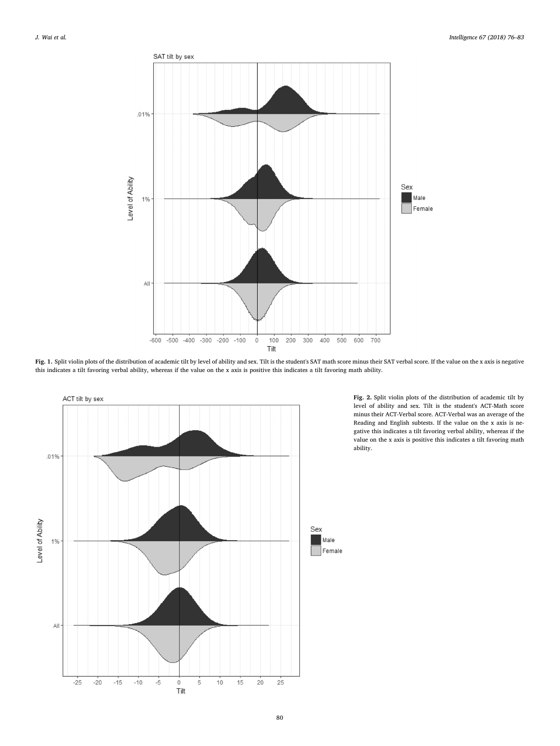<span id="page-4-0"></span>

Fig. 1. Split violin plots of the distribution of academic tilt by level of ability and sex. Tilt is the student's SAT math score minus their SAT verbal score. If the value on the x axis is negative this indicates a tilt favoring verbal ability, whereas if the value on the x axis is positive this indicates a tilt favoring math ability.



Fig. 2. Split violin plots of the distribution of academic tilt by level of ability and sex. Tilt is the student's ACT-Math score minus their ACT-Verbal score. ACT-Verbal was an average of the Reading and English subtests. If the value on the x axis is negative this indicates a tilt favoring verbal ability, whereas if the value on the x axis is positive this indicates a tilt favoring math ability.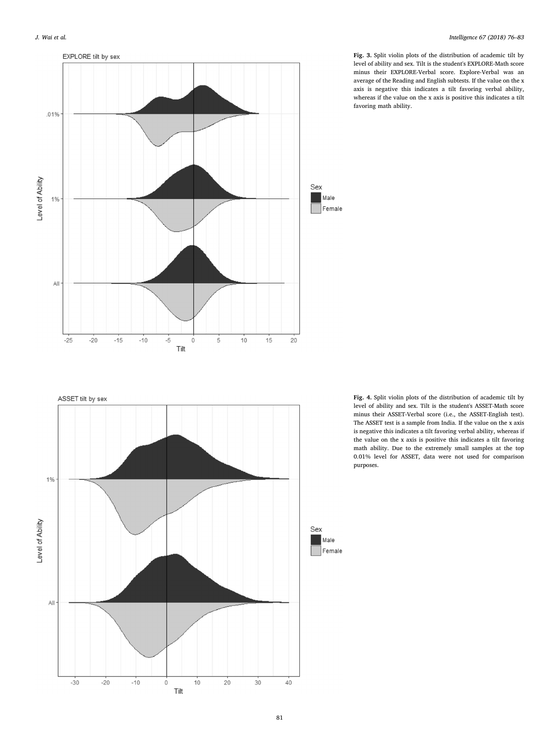

Fig. 3. Split violin plots of the distribution of academic tilt by level of ability and sex. Tilt is the student's EXPLORE-Math score minus their EXPLORE-Verbal score. Explore-Verbal was an average of the Reading and English subtests. If the value on the x axis is negative this indicates a tilt favoring verbal ability, whereas if the value on the x axis is positive this indicates a tilt favoring math ability.



Fig. 4. Split violin plots of the distribution of academic tilt by level of ability and sex. Tilt is the student's ASSET-Math score minus their ASSET-Verbal score (i.e., the ASSET-English test). The ASSET test is a sample from India. If the value on the x axis is negative this indicates a tilt favoring verbal ability, whereas if the value on the x axis is positive this indicates a tilt favoring math ability. Due to the extremely small samples at the top 0.01% level for ASSET, data were not used for comparison purposes.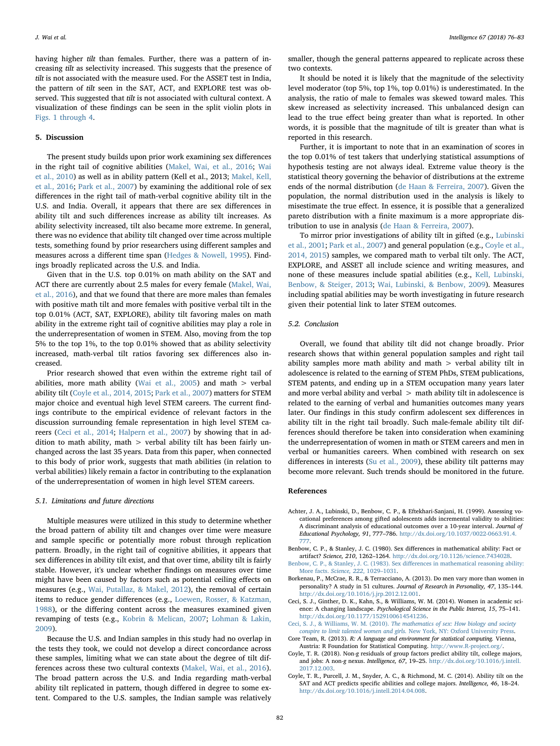having higher tilt than females. Further, there was a pattern of increasing tilt as selectivity increased. This suggests that the presence of tilt is not associated with the measure used. For the ASSET test in India, the pattern of tilt seen in the SAT, ACT, and EXPLORE test was observed. This suggested that tilt is not associated with cultural context. A visualization of these findings can be seen in the split violin plots in [Figs. 1 through 4.](#page-4-0)

#### 5. Discussion

The present study builds upon prior work examining sex differences in the right tail of cognitive abilities [\(Makel, Wai, et al., 2016](#page-7-9); [Wai](#page-7-4) [et al., 2010\)](#page-7-4) as well as in ability pattern (Kell et al., 2013; [Makel, Kell,](#page-7-15) [et al., 2016](#page-7-15); [Park et al., 2007\)](#page-7-7) by examining the additional role of sex differences in the right tail of math-verbal cognitive ability tilt in the U.S. and India. Overall, it appears that there are sex differences in ability tilt and such differences increase as ability tilt increases. As ability selectivity increased, tilt also became more extreme. In general, there was no evidence that ability tilt changed over time across multiple tests, something found by prior researchers using different samples and measures across a different time span ([Hedges & Nowell, 1995](#page-7-28)). Findings broadly replicated across the U.S. and India.

Given that in the U.S. top 0.01% on math ability on the SAT and ACT there are currently about 2.5 males for every female [\(Makel, Wai,](#page-7-9) [et al., 2016](#page-7-9)), and that we found that there are more males than females with positive math tilt and more females with positive verbal tilt in the top 0.01% (ACT, SAT, EXPLORE), ability tilt favoring males on math ability in the extreme right tail of cognitive abilities may play a role in the underrepresentation of women in STEM. Also, moving from the top 5% to the top 1%, to the top 0.01% showed that as ability selectivity increased, math-verbal tilt ratios favoring sex differences also increased.

Prior research showed that even within the extreme right tail of abilities, more math ability ([Wai et al., 2005](#page-7-8)) and math  $>$  verbal ability tilt [\(Coyle et al., 2014, 2015;](#page-6-4) [Park et al., 2007\)](#page-7-7) matters for STEM major choice and eventual high level STEM careers. The current findings contribute to the empirical evidence of relevant factors in the discussion surrounding female representation in high level STEM careers ([Ceci et al., 2014;](#page-6-0) [Halpern et al., 2007\)](#page-7-2) by showing that in addition to math ability, math > verbal ability tilt has been fairly unchanged across the last 35 years. Data from this paper, when connected to this body of prior work, suggests that math abilities (in relation to verbal abilities) likely remain a factor in contributing to the explanation of the underrepresentation of women in high level STEM careers.

### 5.1. Limitations and future directions

Multiple measures were utilized in this study to determine whether the broad pattern of ability tilt and changes over time were measure and sample specific or potentially more robust through replication pattern. Broadly, in the right tail of cognitive abilities, it appears that sex differences in ability tilt exist, and that over time, ability tilt is fairly stable. However, it's unclear whether findings on measures over time might have been caused by factors such as potential ceiling effects on measures (e.g., [Wai, Putallaz, & Makel, 2012](#page-7-29)), the removal of certain items to reduce gender differences (e.g., [Loewen, Rosser, & Katzman,](#page-7-30) [1988\)](#page-7-30), or the differing content across the measures examined given revamping of tests (e.g., [Kobrin & Melican, 2007](#page-7-31); [Lohman & Lakin,](#page-7-32) [2009\)](#page-7-32).

Because the U.S. and Indian samples in this study had no overlap in the tests they took, we could not develop a direct concordance across these samples, limiting what we can state about the degree of tilt differences across these two cultural contexts [\(Makel, Wai, et al., 2016](#page-7-9)). The broad pattern across the U.S. and India regarding math-verbal ability tilt replicated in pattern, though differed in degree to some extent. Compared to the U.S. samples, the Indian sample was relatively

smaller, though the general patterns appeared to replicate across these two contexts.

It should be noted it is likely that the magnitude of the selectivity level moderator (top 5%, top 1%, top 0.01%) is underestimated. In the analysis, the ratio of male to females was skewed toward males. This skew increased as selectivity increased. This unbalanced design can lead to the true effect being greater than what is reported. In other words, it is possible that the magnitude of tilt is greater than what is reported in this research.

Further, it is important to note that in an examination of scores in the top 0.01% of test takers that underlying statistical assumptions of hypothesis testing are not always ideal. Extreme value theory is the statistical theory governing the behavior of distributions at the extreme ends of the normal distribution ([de Haan & Ferreira, 2007](#page-7-33)). Given the population, the normal distribution used in the analysis is likely to misestimate the true effect. In essence, it is possible that a generalized pareto distribution with a finite maximum is a more appropriate distribution to use in analysis ([de Haan & Ferreira, 2007\)](#page-7-33).

To mirror prior investigations of ability tilt in gifted (e.g., [Lubinski](#page-7-13) [et al., 2001](#page-7-13); [Park et al., 2007](#page-7-7)) and general population (e.g., [Coyle et al.,](#page-6-4) [2014, 2015](#page-6-4)) samples, we compared math to verbal tilt only. The ACT, EXPLORE, and ASSET all include science and writing measures, and none of these measures include spatial abilities (e.g., [Kell, Lubinski,](#page-7-34) [Benbow, & Steiger, 2013;](#page-7-34) [Wai, Lubinski, & Benbow, 2009](#page-7-35)). Measures including spatial abilities may be worth investigating in future research given their potential link to later STEM outcomes.

#### 5.2. Conclusion

Overall, we found that ability tilt did not change broadly. Prior research shows that within general population samples and right tail ability samples more math ability and math > verbal ability tilt in adolescence is related to the earning of STEM PhDs, STEM publications, STEM patents, and ending up in a STEM occupation many years later and more verbal ability and verbal > math ability tilt in adolescence is related to the earning of verbal and humanities outcomes many years later. Our findings in this study confirm adolescent sex differences in ability tilt in the right tail broadly. Such male-female ability tilt differences should therefore be taken into consideration when examining the underrepresentation of women in math or STEM careers and men in verbal or humanities careers. When combined with research on sex differences in interests (Su [et al., 2009](#page-7-10)), these ability tilt patterns may become more relevant. Such trends should be monitored in the future.

#### References

- <span id="page-6-7"></span>Achter, J. A., Lubinski, D., Benbow, C. P., & Eftekhari-Sanjani, H. (1999). Assessing vocational preferences among gifted adolescents adds incremental validity to abilities: A discriminant analysis of educational outcomes over a 10-year interval. Journal of Educational Psychology, 91, 777–786. [http://dx.doi.org/10.1037/0022-0663.91.4.](http://dx.doi.org/10.1037/0022-0663.91.4.777) [777](http://dx.doi.org/10.1037/0022-0663.91.4.777).
- <span id="page-6-2"></span>Benbow, C. P., & Stanley, J. C. (1980). Sex differences in mathematical ability: Fact or artifact? Science, 210, 1262–1264. [http://dx.doi.org/10.1126/science.7434028.](http://dx.doi.org/10.1126/science.7434028)
- [Benbow, C. P., & Stanley, J. C. \(1983\). Sex di](http://refhub.elsevier.com/S0160-2896(17)30124-1/rf0015)fferences in mathematical reasoning ability: More facts. [Science, 222](http://refhub.elsevier.com/S0160-2896(17)30124-1/rf0015), 1029–1031.
- <span id="page-6-3"></span>Borkenau, P., McCrae, R. R., & Terracciano, A. (2013). Do men vary more than women in personality? A study in 51 cultures. Journal of Research in Personality, 47, 135–144. [http://dx.doi.org/10.1016/j.jrp.2012.12.001.](http://dx.doi.org/10.1016/j.jrp.2012.12.001)
- <span id="page-6-0"></span>Ceci, S. J., Ginther, D. K., Kahn, S., & Williams, W. M. (2014). Women in academic science: A changing landscape. Psychological Science in the Public Interest, 15, 75–141. [http://dx.doi.org/10.1177/1529100614541236.](http://dx.doi.org/10.1177/1529100614541236)
- <span id="page-6-1"></span>Ceci, S. J., & Williams, W. M. (2010). [The mathematics of sex: How biology and society](http://refhub.elsevier.com/S0160-2896(17)30124-1/rf0030) [conspire to limit talented women and girls.](http://refhub.elsevier.com/S0160-2896(17)30124-1/rf0030) New York, NY: Oxford University Press. Core Team, R. (2013). R: A language and environment for statistical computing. Vienna,
- <span id="page-6-6"></span>Austria: R Foundation for Statistical Computing. [http://www.R-project.org/.](http://www.R-project.org/)
- <span id="page-6-5"></span>Coyle, T. R. (2018). Non-g residuals of group factors predict ability tilt, college majors, and jobs: A non-g nexus. Intelligence, 67, 19–25. [http://dx.doi.org/10.1016/j.intell.](http://dx.doi.org/10.1016/j.intell.2017.12.003) [2017.12.003](http://dx.doi.org/10.1016/j.intell.2017.12.003).
- <span id="page-6-4"></span>Coyle, T. R., Purcell, J. M., Snyder, A. C., & Richmond, M. C. (2014). Ability tilt on the SAT and ACT predicts specific abilities and college majors. Intelligence, 46, 18–24. <http://dx.doi.org/10.1016/j.intell.2014.04.008>.